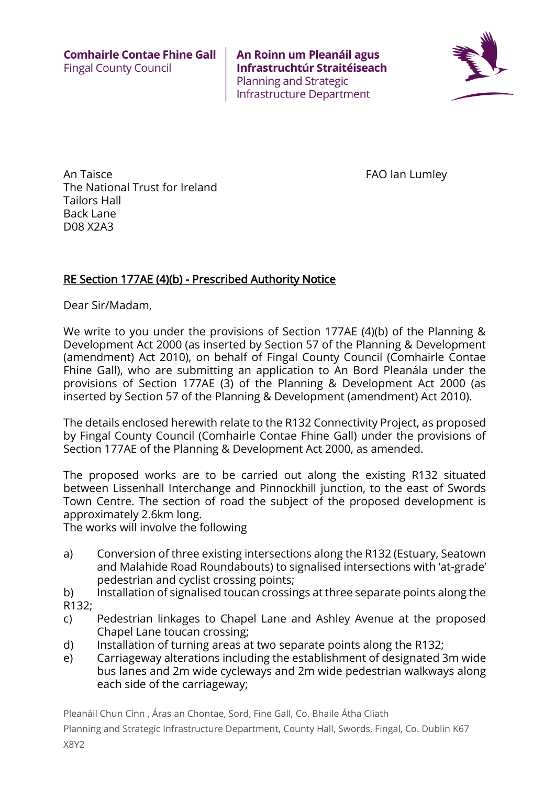

An Taisce **FAO** Ian Lumley The National Trust for Ireland Tailors Hall Back Lane D08 X2A3

#### RE Section 177AE (4)(b) - Prescribed Authority Notice

Dear Sir/Madam,

We write to you under the provisions of Section 177AE (4)(b) of the Planning & Development Act 2000 (as inserted by Section 57 of the Planning & Development (amendment) Act 2010), on behalf of Fingal County Council (Comhairle Contae Fhine Gall), who are submitting an application to An Bord Pleanála under the provisions of Section 177AE (3) of the Planning & Development Act 2000 (as inserted by Section 57 of the Planning & Development (amendment) Act 2010).

The details enclosed herewith relate to the R132 Connectivity Project, as proposed by Fingal County Council (Comhairle Contae Fhine Gall) under the provisions of Section 177AE of the Planning & Development Act 2000, as amended.

The proposed works are to be carried out along the existing R132 situated between Lissenhall Interchange and Pinnockhill junction, to the east of Swords Town Centre. The section of road the subject of the proposed development is approximately 2.6km long.

The works will involve the following

- a) Conversion of three existing intersections along the R132 (Estuary, Seatown and Malahide Road Roundabouts) to signalised intersections with 'at-grade' pedestrian and cyclist crossing points;
- b) Installation of signalised toucan crossings at three separate points along the R132;
- c) Pedestrian linkages to Chapel Lane and Ashley Avenue at the proposed Chapel Lane toucan crossing;
- d) Installation of turning areas at two separate points along the R132;
- e) Carriageway alterations including the establishment of designated 3m wide bus lanes and 2m wide cycleways and 2m wide pedestrian walkways along each side of the carriageway;

Pleanáil Chun Cinn , Áras an Chontae, Sord, Fine Gall, Co. Bhaile Átha Cliath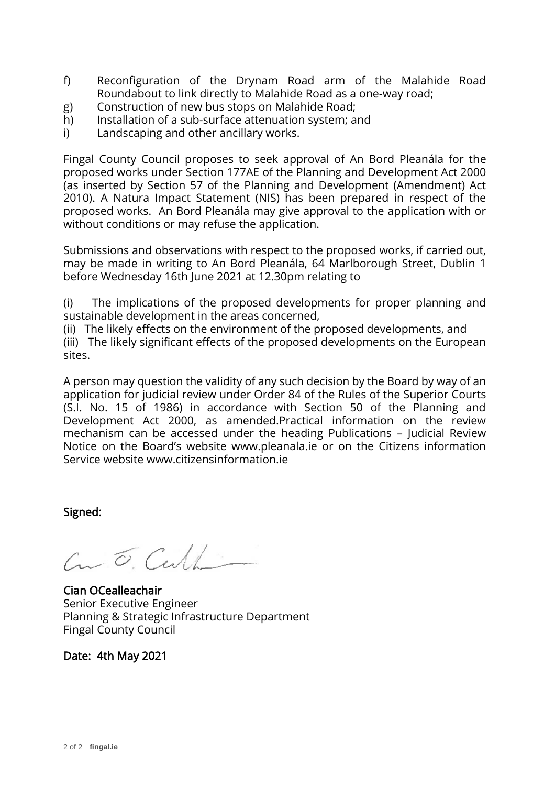- f) Reconfiguration of the Drynam Road arm of the Malahide Road Roundabout to link directly to Malahide Road as a one-way road;
- g) Construction of new bus stops on Malahide Road;
- h) Installation of a sub-surface attenuation system; and
- i) Landscaping and other ancillary works.

Submissions and observations with respect to the proposed works, if carried out, may be made in writing to An Bord Pleanála, 64 Marlborough Street, Dublin 1 before Wednesday 16th June 2021 at 12.30pm relating to

(i) The implications of the proposed developments for proper planning and sustainable development in the areas concerned,

(ii) The likely effects on the environment of the proposed developments, and (iii) The likely significant effects of the proposed developments on the European sites.

A person may question the validity of any such decision by the Board by way of an application for judicial review under Order 84 of the Rules of the Superior Courts (S.I. No. 15 of 1986) in accordance with Section 50 of the Planning and Development Act 2000, as amended.Practical information on the review mechanism can be accessed under the heading Publications – Judicial Review Notice on the Board's website www.pleanala.ie or on the Citizens information Service website www.citizensinformation.ie

Signed:

 $C_{\text{m}}\subset C_{\text{c}}$ 

Cian OCealleachair Senior Executive Engineer Planning & Strategic Infrastructure Department Fingal County Council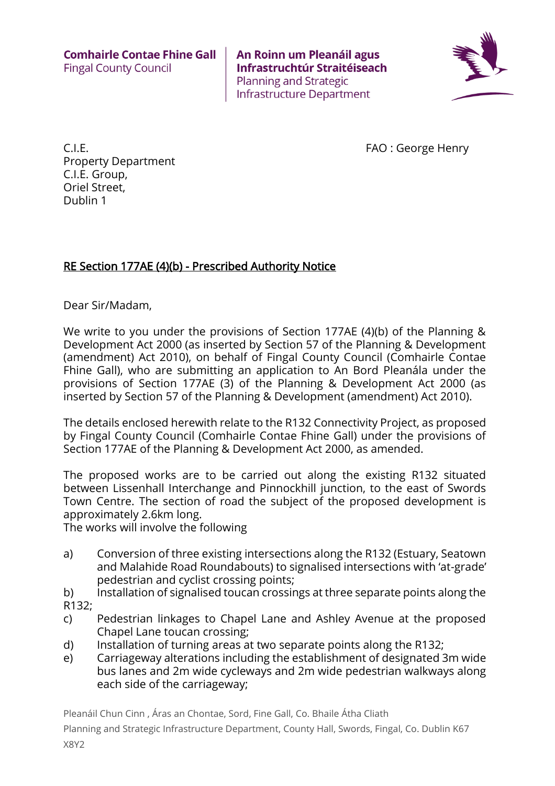

C.I.E. FAO : George Henry Property Department C.I.E. Group, Oriel Street, Dublin 1

### RE Section 177AE (4)(b) - Prescribed Authority Notice

Dear Sir/Madam,

We write to you under the provisions of Section 177AE (4)(b) of the Planning & Development Act 2000 (as inserted by Section 57 of the Planning & Development (amendment) Act 2010), on behalf of Fingal County Council (Comhairle Contae Fhine Gall), who are submitting an application to An Bord Pleanála under the provisions of Section 177AE (3) of the Planning & Development Act 2000 (as inserted by Section 57 of the Planning & Development (amendment) Act 2010).

The details enclosed herewith relate to the R132 Connectivity Project, as proposed by Fingal County Council (Comhairle Contae Fhine Gall) under the provisions of Section 177AE of the Planning & Development Act 2000, as amended.

The proposed works are to be carried out along the existing R132 situated between Lissenhall Interchange and Pinnockhill junction, to the east of Swords Town Centre. The section of road the subject of the proposed development is approximately 2.6km long.

The works will involve the following

- a) Conversion of three existing intersections along the R132 (Estuary, Seatown and Malahide Road Roundabouts) to signalised intersections with 'at-grade' pedestrian and cyclist crossing points;
- b) Installation of signalised toucan crossings at three separate points along the R132;
- c) Pedestrian linkages to Chapel Lane and Ashley Avenue at the proposed Chapel Lane toucan crossing;
- d) Installation of turning areas at two separate points along the R132;
- e) Carriageway alterations including the establishment of designated 3m wide bus lanes and 2m wide cycleways and 2m wide pedestrian walkways along each side of the carriageway;

Pleanáil Chun Cinn , Áras an Chontae, Sord, Fine Gall, Co. Bhaile Átha Cliath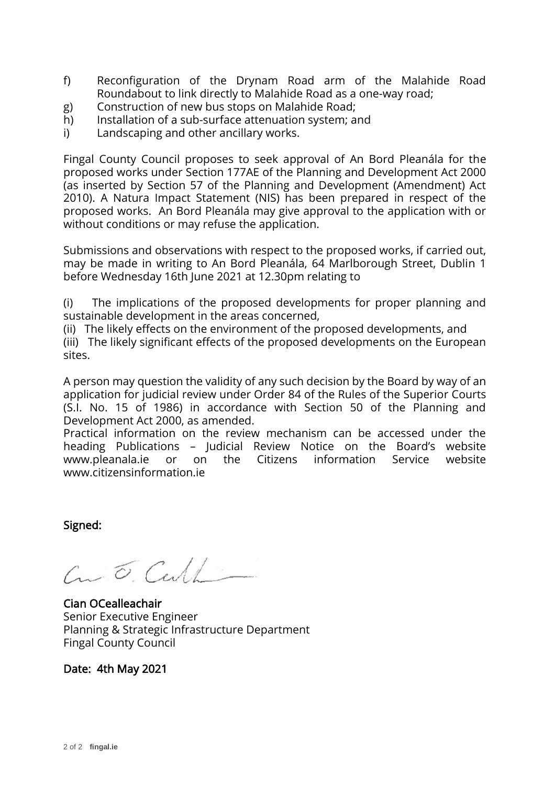- f) Reconfiguration of the Drynam Road arm of the Malahide Road Roundabout to link directly to Malahide Road as a one-way road;
- g) Construction of new bus stops on Malahide Road;
- h) Installation of a sub-surface attenuation system; and
- i) Landscaping and other ancillary works.

Submissions and observations with respect to the proposed works, if carried out, may be made in writing to An Bord Pleanála, 64 Marlborough Street, Dublin 1 before Wednesday 16th June 2021 at 12.30pm relating to

(i) The implications of the proposed developments for proper planning and sustainable development in the areas concerned,

(ii) The likely effects on the environment of the proposed developments, and (iii) The likely significant effects of the proposed developments on the European

sites.

A person may question the validity of any such decision by the Board by way of an application for judicial review under Order 84 of the Rules of the Superior Courts (S.I. No. 15 of 1986) in accordance with Section 50 of the Planning and Development Act 2000, as amended.

Practical information on the review mechanism can be accessed under the heading Publications – Judicial Review Notice on the Board's website www.pleanala.ie or on the Citizens information Service website www.citizensinformation.ie

Signed:

 $C_{1}$   $\sigma$ . Cull

Cian OCealleachair Senior Executive Engineer Planning & Strategic Infrastructure Department Fingal County Council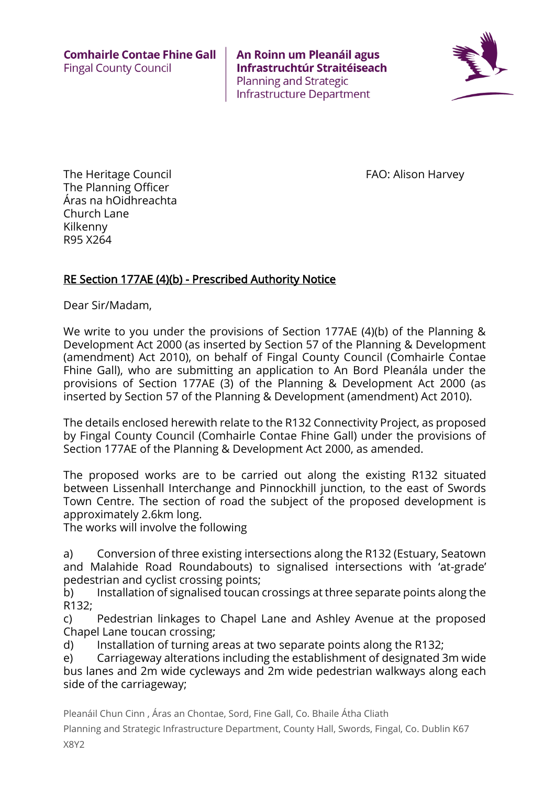

The Heritage Council **FAO:** Alison Harvey The Planning Officer Áras na hOidhreachta Church Lane Kilkenny R95 X264

### RE Section 177AE (4)(b) - Prescribed Authority Notice

Dear Sir/Madam,

We write to you under the provisions of Section 177AE (4)(b) of the Planning & Development Act 2000 (as inserted by Section 57 of the Planning & Development (amendment) Act 2010), on behalf of Fingal County Council (Comhairle Contae Fhine Gall), who are submitting an application to An Bord Pleanála under the provisions of Section 177AE (3) of the Planning & Development Act 2000 (as inserted by Section 57 of the Planning & Development (amendment) Act 2010).

The details enclosed herewith relate to the R132 Connectivity Project, as proposed by Fingal County Council (Comhairle Contae Fhine Gall) under the provisions of Section 177AE of the Planning & Development Act 2000, as amended.

The proposed works are to be carried out along the existing R132 situated between Lissenhall Interchange and Pinnockhill junction, to the east of Swords Town Centre. The section of road the subject of the proposed development is approximately 2.6km long.

The works will involve the following

a) Conversion of three existing intersections along the R132 (Estuary, Seatown and Malahide Road Roundabouts) to signalised intersections with 'at-grade' pedestrian and cyclist crossing points;

b) Installation of signalised toucan crossings at three separate points along the R132;

c) Pedestrian linkages to Chapel Lane and Ashley Avenue at the proposed Chapel Lane toucan crossing;

d) Installation of turning areas at two separate points along the R132;

e) Carriageway alterations including the establishment of designated 3m wide bus lanes and 2m wide cycleways and 2m wide pedestrian walkways along each side of the carriageway;

Pleanáil Chun Cinn , Áras an Chontae, Sord, Fine Gall, Co. Bhaile Átha Cliath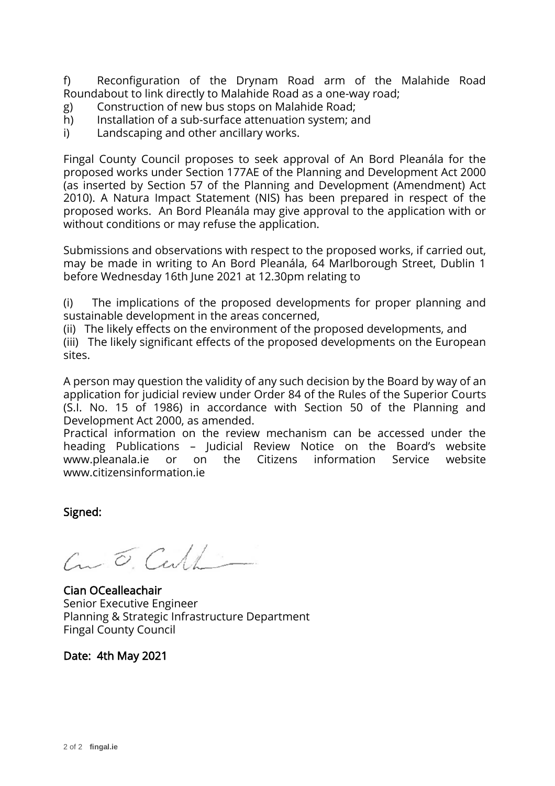f) Reconfiguration of the Drynam Road arm of the Malahide Road Roundabout to link directly to Malahide Road as a one-way road;

- g) Construction of new bus stops on Malahide Road;
- h) Installation of a sub-surface attenuation system; and
- i) Landscaping and other ancillary works.

Fingal County Council proposes to seek approval of An Bord Pleanála for the proposed works under Section 177AE of the Planning and Development Act 2000 (as inserted by Section 57 of the Planning and Development (Amendment) Act 2010). A Natura Impact Statement (NIS) has been prepared in respect of the proposed works. An Bord Pleanála may give approval to the application with or without conditions or may refuse the application.

Submissions and observations with respect to the proposed works, if carried out, may be made in writing to An Bord Pleanála, 64 Marlborough Street, Dublin 1 before Wednesday 16th June 2021 at 12.30pm relating to

(i) The implications of the proposed developments for proper planning and sustainable development in the areas concerned,

(ii) The likely effects on the environment of the proposed developments, and

(iii) The likely significant effects of the proposed developments on the European sites.

A person may question the validity of any such decision by the Board by way of an application for judicial review under Order 84 of the Rules of the Superior Courts (S.I. No. 15 of 1986) in accordance with Section 50 of the Planning and Development Act 2000, as amended.

Practical information on the review mechanism can be accessed under the heading Publications – Judicial Review Notice on the Board's website www.pleanala.ie or on the Citizens information Service website www.citizensinformation.ie

Signed:

 $c_{\mu} \tilde{c}$ , Carl

Cian OCealleachair Senior Executive Engineer Planning & Strategic Infrastructure Department Fingal County Council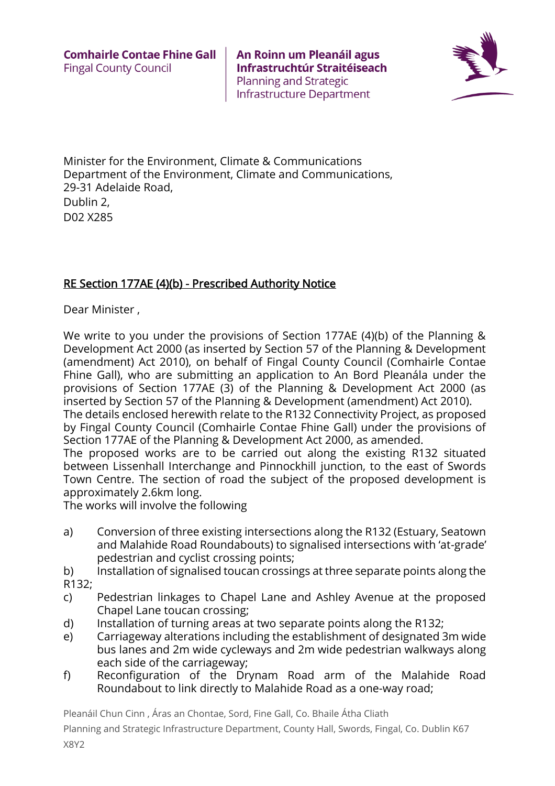

Minister for the Environment, Climate & Communications Department of the Environment, Climate and Communications, 29-31 Adelaide Road, Dublin 2,

D02 X285

# RE Section 177AE (4)(b) - Prescribed Authority Notice

Dear Minister ,

We write to you under the provisions of Section 177AE (4)(b) of the Planning & Development Act 2000 (as inserted by Section 57 of the Planning & Development (amendment) Act 2010), on behalf of Fingal County Council (Comhairle Contae Fhine Gall), who are submitting an application to An Bord Pleanála under the provisions of Section 177AE (3) of the Planning & Development Act 2000 (as inserted by Section 57 of the Planning & Development (amendment) Act 2010).

The details enclosed herewith relate to the R132 Connectivity Project, as proposed by Fingal County Council (Comhairle Contae Fhine Gall) under the provisions of Section 177AE of the Planning & Development Act 2000, as amended.

The proposed works are to be carried out along the existing R132 situated between Lissenhall Interchange and Pinnockhill junction, to the east of Swords Town Centre. The section of road the subject of the proposed development is approximately 2.6km long.

The works will involve the following

- a) Conversion of three existing intersections along the R132 (Estuary, Seatown and Malahide Road Roundabouts) to signalised intersections with 'at-grade' pedestrian and cyclist crossing points;
- b) Installation of signalised toucan crossings at three separate points along the R132;
- c) Pedestrian linkages to Chapel Lane and Ashley Avenue at the proposed Chapel Lane toucan crossing;
- d) Installation of turning areas at two separate points along the R132;
- e) Carriageway alterations including the establishment of designated 3m wide bus lanes and 2m wide cycleways and 2m wide pedestrian walkways along each side of the carriageway;
- f) Reconfiguration of the Drynam Road arm of the Malahide Road Roundabout to link directly to Malahide Road as a one-way road;

Pleanáil Chun Cinn , Áras an Chontae, Sord, Fine Gall, Co. Bhaile Átha Cliath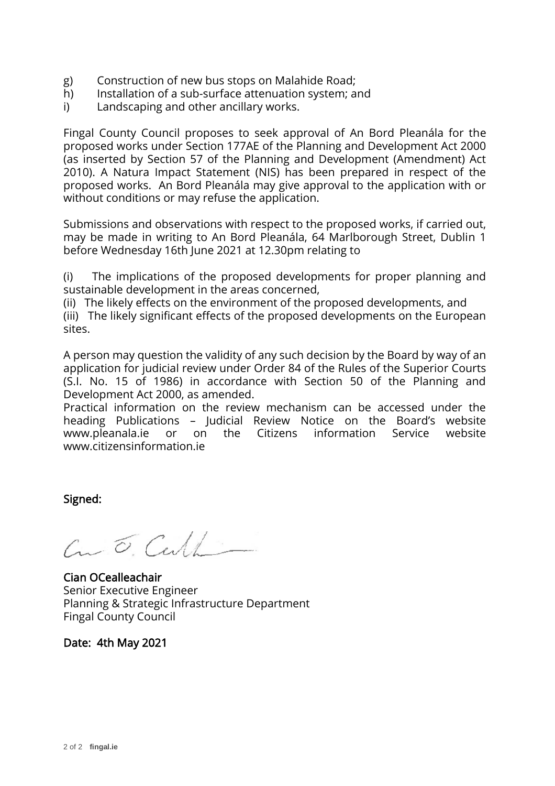- g) Construction of new bus stops on Malahide Road;
- h) Installation of a sub-surface attenuation system; and
- i) Landscaping and other ancillary works.

Submissions and observations with respect to the proposed works, if carried out, may be made in writing to An Bord Pleanála, 64 Marlborough Street, Dublin 1 before Wednesday 16th June 2021 at 12.30pm relating to

(i) The implications of the proposed developments for proper planning and sustainable development in the areas concerned,

(ii) The likely effects on the environment of the proposed developments, and (iii) The likely significant effects of the proposed developments on the European sites.

A person may question the validity of any such decision by the Board by way of an application for judicial review under Order 84 of the Rules of the Superior Courts (S.I. No. 15 of 1986) in accordance with Section 50 of the Planning and Development Act 2000, as amended.

Practical information on the review mechanism can be accessed under the heading Publications – Judicial Review Notice on the Board's website www.pleanala.ie or on the Citizens information Service website www.citizensinformation.ie

Signed:

 $C_{\textrm{m}}\circ C_{\textrm{c}}$ 

Cian OCealleachair Senior Executive Engineer Planning & Strategic Infrastructure Department Fingal County Council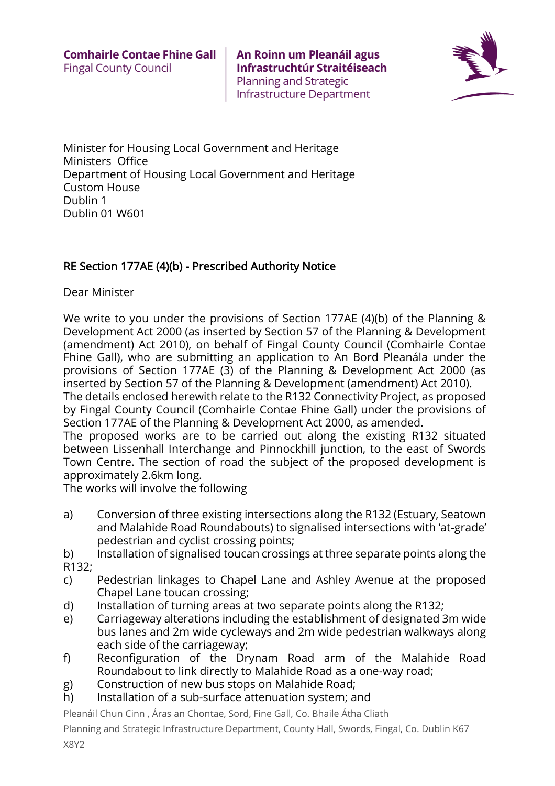

Minister for Housing Local Government and Heritage Ministers Office Department of Housing Local Government and Heritage Custom House Dublin 1 Dublin 01 W601

### RE Section 177AE (4)(b) - Prescribed Authority Notice

Dear Minister

We write to you under the provisions of Section 177AE (4)(b) of the Planning & Development Act 2000 (as inserted by Section 57 of the Planning & Development (amendment) Act 2010), on behalf of Fingal County Council (Comhairle Contae Fhine Gall), who are submitting an application to An Bord Pleanála under the provisions of Section 177AE (3) of the Planning & Development Act 2000 (as inserted by Section 57 of the Planning & Development (amendment) Act 2010).

The details enclosed herewith relate to the R132 Connectivity Project, as proposed by Fingal County Council (Comhairle Contae Fhine Gall) under the provisions of Section 177AE of the Planning & Development Act 2000, as amended.

The proposed works are to be carried out along the existing R132 situated between Lissenhall Interchange and Pinnockhill junction, to the east of Swords Town Centre. The section of road the subject of the proposed development is approximately 2.6km long.

The works will involve the following

a) Conversion of three existing intersections along the R132 (Estuary, Seatown and Malahide Road Roundabouts) to signalised intersections with 'at-grade' pedestrian and cyclist crossing points;

b) Installation of signalised toucan crossings at three separate points along the R132;

- c) Pedestrian linkages to Chapel Lane and Ashley Avenue at the proposed Chapel Lane toucan crossing;
- d) Installation of turning areas at two separate points along the R132;
- e) Carriageway alterations including the establishment of designated 3m wide bus lanes and 2m wide cycleways and 2m wide pedestrian walkways along each side of the carriageway;
- f) Reconfiguration of the Drynam Road arm of the Malahide Road Roundabout to link directly to Malahide Road as a one-way road;
- g) Construction of new bus stops on Malahide Road;
- h) Installation of a sub-surface attenuation system; and

Pleanáil Chun Cinn , Áras an Chontae, Sord, Fine Gall, Co. Bhaile Átha Cliath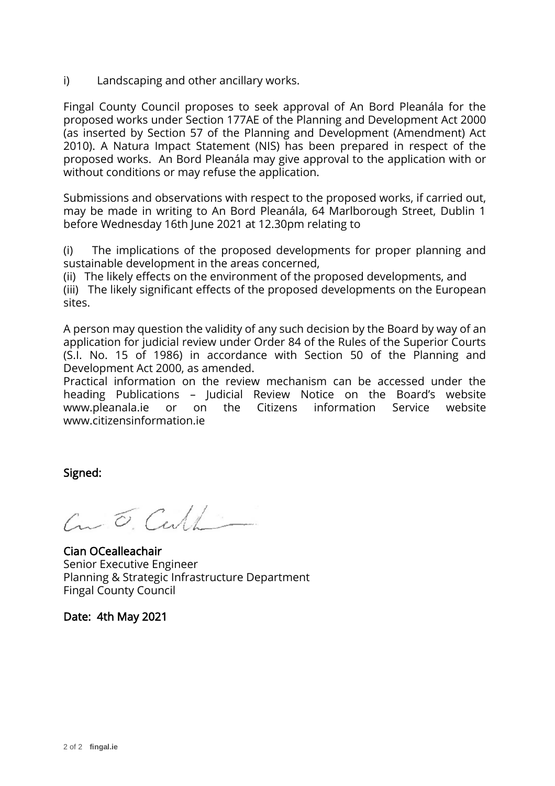i) Landscaping and other ancillary works.

Fingal County Council proposes to seek approval of An Bord Pleanála for the proposed works under Section 177AE of the Planning and Development Act 2000 (as inserted by Section 57 of the Planning and Development (Amendment) Act 2010). A Natura Impact Statement (NIS) has been prepared in respect of the proposed works. An Bord Pleanála may give approval to the application with or without conditions or may refuse the application.

Submissions and observations with respect to the proposed works, if carried out, may be made in writing to An Bord Pleanála, 64 Marlborough Street, Dublin 1 before Wednesday 16th June 2021 at 12.30pm relating to

(i) The implications of the proposed developments for proper planning and sustainable development in the areas concerned,

(ii) The likely effects on the environment of the proposed developments, and (iii) The likely significant effects of the proposed developments on the European

sites.

A person may question the validity of any such decision by the Board by way of an application for judicial review under Order 84 of the Rules of the Superior Courts (S.I. No. 15 of 1986) in accordance with Section 50 of the Planning and Development Act 2000, as amended.

Practical information on the review mechanism can be accessed under the heading Publications – Judicial Review Notice on the Board's website www.pleanala.ie or on the Citizens information Service website www.citizensinformation.ie

Signed:

 $C_{\textrm{m}}\circ C_{\textrm{c}}$ 

Cian OCealleachair Senior Executive Engineer Planning & Strategic Infrastructure Department Fingal County Council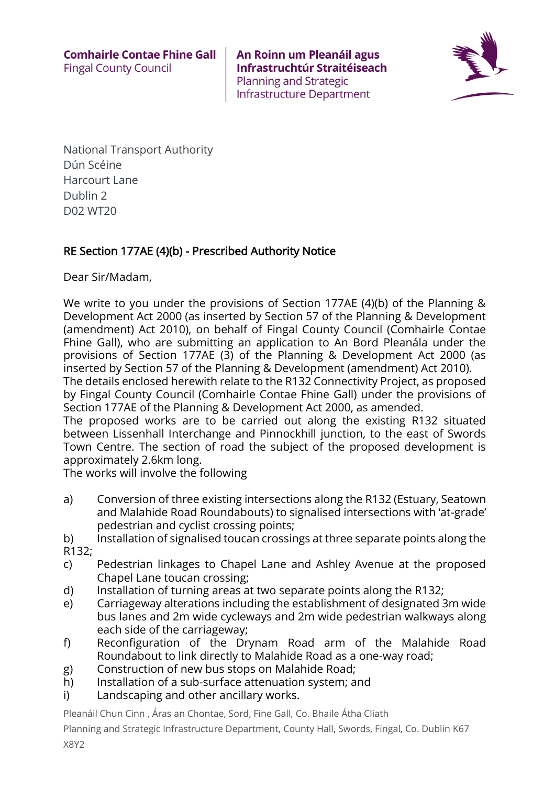

National Transport Authority Dún Scéine Harcourt Lane Dublin 2 D02 WT20

# RE Section 177AE (4)(b) - Prescribed Authority Notice

Dear Sir/Madam,

We write to you under the provisions of Section 177AE (4)(b) of the Planning & Development Act 2000 (as inserted by Section 57 of the Planning & Development (amendment) Act 2010), on behalf of Fingal County Council (Comhairle Contae Fhine Gall), who are submitting an application to An Bord Pleanála under the provisions of Section 177AE (3) of the Planning & Development Act 2000 (as inserted by Section 57 of the Planning & Development (amendment) Act 2010).

The details enclosed herewith relate to the R132 Connectivity Project, as proposed by Fingal County Council (Comhairle Contae Fhine Gall) under the provisions of Section 177AE of the Planning & Development Act 2000, as amended.

The proposed works are to be carried out along the existing R132 situated between Lissenhall Interchange and Pinnockhill junction, to the east of Swords Town Centre. The section of road the subject of the proposed development is approximately 2.6km long.

The works will involve the following

- a) Conversion of three existing intersections along the R132 (Estuary, Seatown and Malahide Road Roundabouts) to signalised intersections with 'at-grade' pedestrian and cyclist crossing points;
- b) Installation of signalised toucan crossings at three separate points along the R132;
- c) Pedestrian linkages to Chapel Lane and Ashley Avenue at the proposed Chapel Lane toucan crossing;
- d) Installation of turning areas at two separate points along the R132;
- e) Carriageway alterations including the establishment of designated 3m wide bus lanes and 2m wide cycleways and 2m wide pedestrian walkways along each side of the carriageway;
- f) Reconfiguration of the Drynam Road arm of the Malahide Road Roundabout to link directly to Malahide Road as a one-way road;
- g) Construction of new bus stops on Malahide Road;
- h) Installation of a sub-surface attenuation system; and
- i) Landscaping and other ancillary works.

Pleanáil Chun Cinn , Áras an Chontae, Sord, Fine Gall, Co. Bhaile Átha Cliath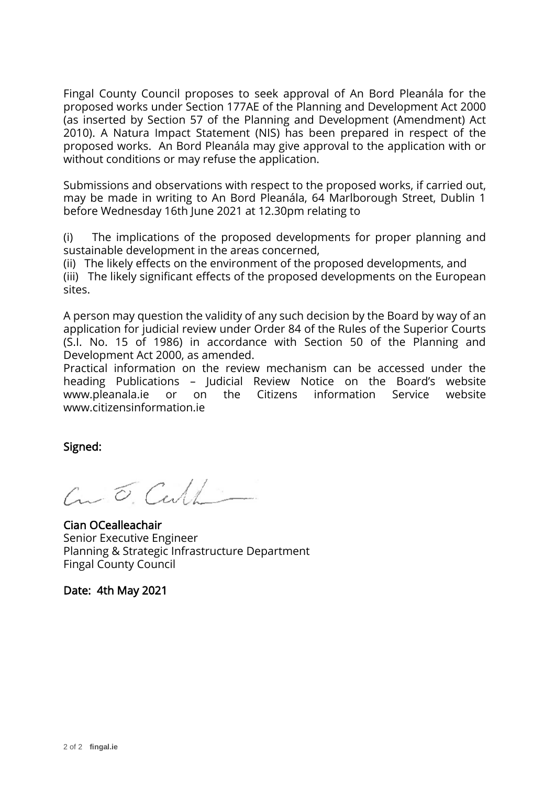Submissions and observations with respect to the proposed works, if carried out, may be made in writing to An Bord Pleanála, 64 Marlborough Street, Dublin 1 before Wednesday 16th June 2021 at 12.30pm relating to

(i) The implications of the proposed developments for proper planning and sustainable development in the areas concerned,

(ii) The likely effects on the environment of the proposed developments, and (iii) The likely significant effects of the proposed developments on the European sites.

A person may question the validity of any such decision by the Board by way of an application for judicial review under Order 84 of the Rules of the Superior Courts (S.I. No. 15 of 1986) in accordance with Section 50 of the Planning and Development Act 2000, as amended.

Practical information on the review mechanism can be accessed under the heading Publications – Judicial Review Notice on the Board's website www.pleanala.ie or on the Citizens information Service website www.citizensinformation.ie

Signed:

 $C_{\textrm{m}}\circ C_{\textrm{c}}$ 

Cian OCealleachair Senior Executive Engineer Planning & Strategic Infrastructure Department Fingal County Council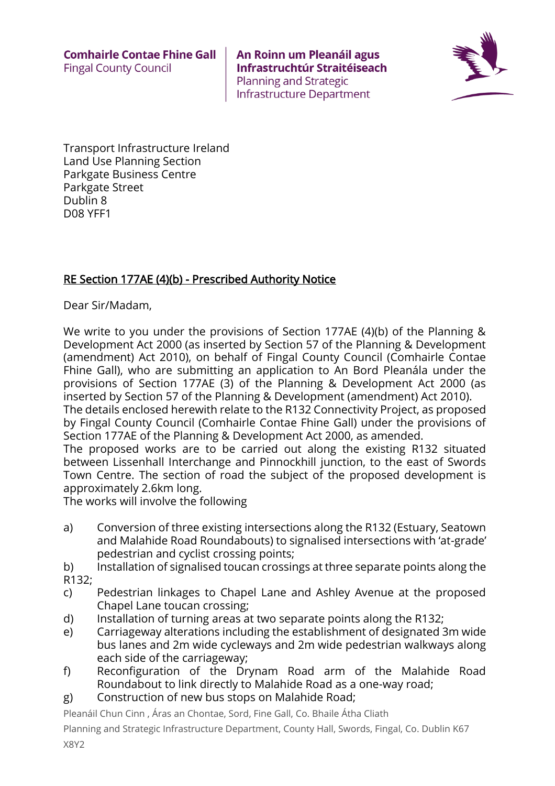

Transport Infrastructure Ireland Land Use Planning Section Parkgate Business Centre Parkgate Street Dublin 8 D08 YFF1

### RE Section 177AE (4)(b) - Prescribed Authority Notice

Dear Sir/Madam,

We write to you under the provisions of Section 177AE (4)(b) of the Planning & Development Act 2000 (as inserted by Section 57 of the Planning & Development (amendment) Act 2010), on behalf of Fingal County Council (Comhairle Contae Fhine Gall), who are submitting an application to An Bord Pleanála under the provisions of Section 177AE (3) of the Planning & Development Act 2000 (as inserted by Section 57 of the Planning & Development (amendment) Act 2010).

The details enclosed herewith relate to the R132 Connectivity Project, as proposed by Fingal County Council (Comhairle Contae Fhine Gall) under the provisions of Section 177AE of the Planning & Development Act 2000, as amended.

The proposed works are to be carried out along the existing R132 situated between Lissenhall Interchange and Pinnockhill junction, to the east of Swords Town Centre. The section of road the subject of the proposed development is approximately 2.6km long.

The works will involve the following

- a) Conversion of three existing intersections along the R132 (Estuary, Seatown and Malahide Road Roundabouts) to signalised intersections with 'at-grade' pedestrian and cyclist crossing points;
- b) Installation of signalised toucan crossings at three separate points along the R132;
- c) Pedestrian linkages to Chapel Lane and Ashley Avenue at the proposed Chapel Lane toucan crossing;
- d) Installation of turning areas at two separate points along the R132;
- e) Carriageway alterations including the establishment of designated 3m wide bus lanes and 2m wide cycleways and 2m wide pedestrian walkways along each side of the carriageway;
- f) Reconfiguration of the Drynam Road arm of the Malahide Road Roundabout to link directly to Malahide Road as a one-way road;
- g) Construction of new bus stops on Malahide Road;

Pleanáil Chun Cinn , Áras an Chontae, Sord, Fine Gall, Co. Bhaile Átha Cliath